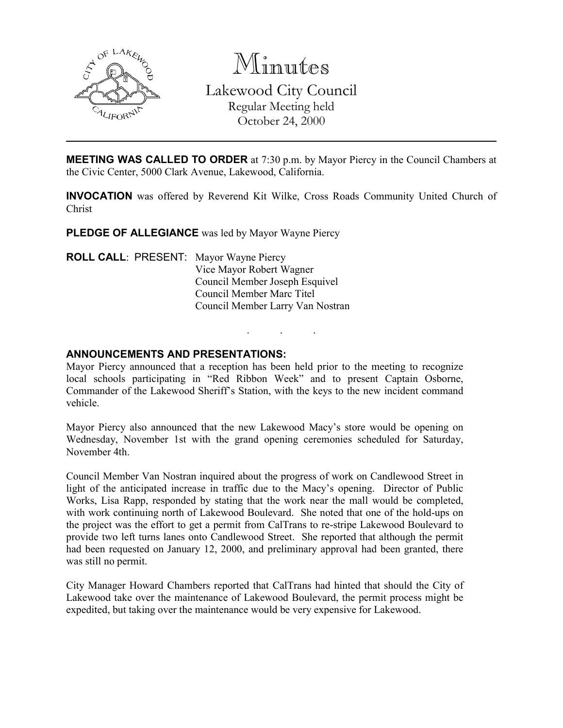

Minutes Lakewood City Council Regular Meeting held October 24, 2000

**MEETING WAS CALLED TO ORDER** at 7:30 p.m. by Mayor Piercy in the Council Chambers at the Civic Center, 5000 Clark Avenue, Lakewood, California.

INVOCATION was offered by Reverend Kit Wilke, Cross Roads Community United Church of Christ

PLEDGE OF ALLEGIANCE was led by Mayor Wayne Piercy

ROLL CALL: PRESENT: Mayor Wayne Piercy Vice Mayor Robert Wagner Council Member Joseph Esquivel Council Member Marc Titel Council Member Larry Van Nostran

### ANNOUNCEMENTS AND PRESENTATIONS:

Mayor Piercy announced that a reception has been held prior to the meeting to recognize local schools participating in "Red Ribbon Week" and to present Captain Osborne, Commander of the Lakewood Sheriff's Station, with the keys to the new incident command vehicle.

. . .

Mayor Piercy also announced that the new Lakewood Macy's store would be opening on Wednesday, November 1st with the grand opening ceremonies scheduled for Saturday, November 4th.

Council Member Van Nostran inquired about the progress of work on Candlewood Street in light of the anticipated increase in traffic due to the Macy's opening. Director of Public Works, Lisa Rapp, responded by stating that the work near the mall would be completed, with work continuing north of Lakewood Boulevard. She noted that one of the hold-ups on the project was the effort to get a permit from CalTrans to re-stripe Lakewood Boulevard to provide two left turns lanes onto Candlewood Street. She reported that although the permit had been requested on January 12, 2000, and preliminary approval had been granted, there was still no permit.

City Manager Howard Chambers reported that CalTrans had hinted that should the City of Lakewood take over the maintenance of Lakewood Boulevard, the permit process might be expedited, but taking over the maintenance would be very expensive for Lakewood.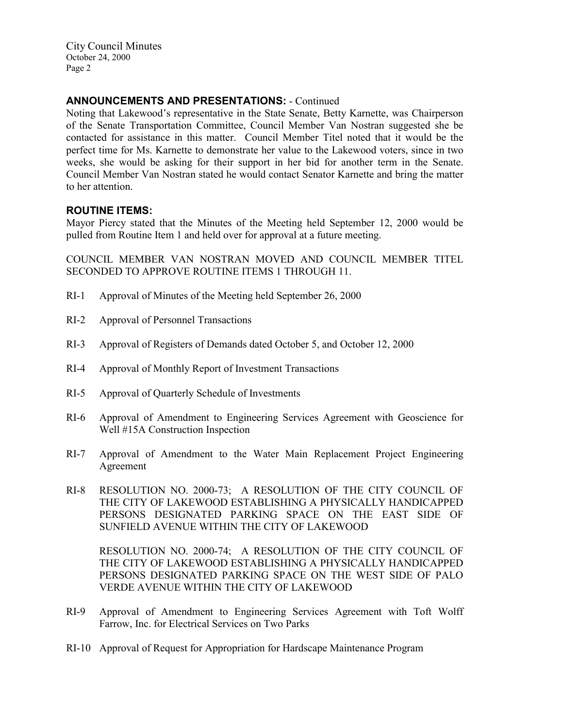City Council Minutes October 24, 2000 Page 2

# ANNOUNCEMENTS AND PRESENTATIONS: - Continued

Noting that Lakewood's representative in the State Senate, Betty Karnette, was Chairperson of the Senate Transportation Committee, Council Member Van Nostran suggested she be contacted for assistance in this matter. Council Member Titel noted that it would be the perfect time for Ms. Karnette to demonstrate her value to the Lakewood voters, since in two weeks, she would be asking for their support in her bid for another term in the Senate. Council Member Van Nostran stated he would contact Senator Karnette and bring the matter to her attention.

## ROUTINE ITEMS:

Mayor Piercy stated that the Minutes of the Meeting held September 12, 2000 would be pulled from Routine Item 1 and held over for approval at a future meeting.

COUNCIL MEMBER VAN NOSTRAN MOVED AND COUNCIL MEMBER TITEL SECONDED TO APPROVE ROUTINE ITEMS 1 THROUGH 11.

- RI-1 Approval of Minutes of the Meeting held September 26, 2000
- RI-2 Approval of Personnel Transactions
- RI-3 Approval of Registers of Demands dated October 5, and October 12, 2000
- RI-4 Approval of Monthly Report of Investment Transactions
- RI-5 Approval of Quarterly Schedule of Investments
- RI-6 Approval of Amendment to Engineering Services Agreement with Geoscience for Well #15A Construction Inspection
- RI-7 Approval of Amendment to the Water Main Replacement Project Engineering Agreement
- RI-8 RESOLUTION NO. 2000-73; A RESOLUTION OF THE CITY COUNCIL OF THE CITY OF LAKEWOOD ESTABLISHING A PHYSICALLY HANDICAPPED PERSONS DESIGNATED PARKING SPACE ON THE EAST SIDE OF SUNFIELD AVENUE WITHIN THE CITY OF LAKEWOOD

RESOLUTION NO. 2000-74; A RESOLUTION OF THE CITY COUNCIL OF THE CITY OF LAKEWOOD ESTABLISHING A PHYSICALLY HANDICAPPED PERSONS DESIGNATED PARKING SPACE ON THE WEST SIDE OF PALO VERDE AVENUE WITHIN THE CITY OF LAKEWOOD

- RI-9 Approval of Amendment to Engineering Services Agreement with Toft Wolff Farrow, Inc. for Electrical Services on Two Parks
- RI-10 Approval of Request for Appropriation for Hardscape Maintenance Program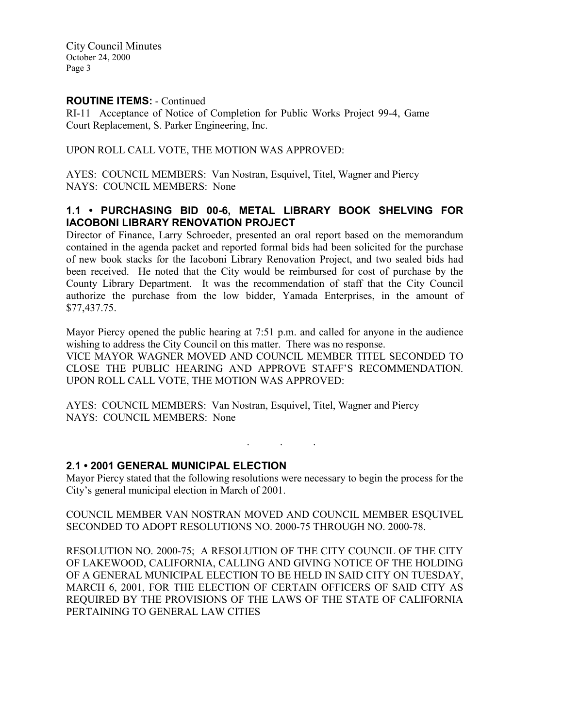City Council Minutes October 24, 2000 Page 3

## ROUTINE ITEMS: - Continued

RI-11 Acceptance of Notice of Completion for Public Works Project 99-4, Game Court Replacement, S. Parker Engineering, Inc.

UPON ROLL CALL VOTE, THE MOTION WAS APPROVED:

AYES: COUNCIL MEMBERS: Van Nostran, Esquivel, Titel, Wagner and Piercy NAYS: COUNCIL MEMBERS: None

## 1.1 • PURCHASING BID 00-6, METAL LIBRARY BOOK SHELVING FOR IACOBONI LIBRARY RENOVATION PROJECT

Director of Finance, Larry Schroeder, presented an oral report based on the memorandum contained in the agenda packet and reported formal bids had been solicited for the purchase of new book stacks for the Iacoboni Library Renovation Project, and two sealed bids had been received. He noted that the City would be reimbursed for cost of purchase by the County Library Department. It was the recommendation of staff that the City Council authorize the purchase from the low bidder, Yamada Enterprises, in the amount of \$77,437.75.

Mayor Piercy opened the public hearing at 7:51 p.m. and called for anyone in the audience wishing to address the City Council on this matter. There was no response. VICE MAYOR WAGNER MOVED AND COUNCIL MEMBER TITEL SECONDED TO CLOSE THE PUBLIC HEARING AND APPROVE STAFF'S RECOMMENDATION. UPON ROLL CALL VOTE, THE MOTION WAS APPROVED:

AYES: COUNCIL MEMBERS: Van Nostran, Esquivel, Titel, Wagner and Piercy NAYS: COUNCIL MEMBERS: None

## 2.1 • 2001 GENERAL MUNICIPAL ELECTION

Mayor Piercy stated that the following resolutions were necessary to begin the process for the City's general municipal election in March of 2001.

. . .

COUNCIL MEMBER VAN NOSTRAN MOVED AND COUNCIL MEMBER ESQUIVEL SECONDED TO ADOPT RESOLUTIONS NO. 2000-75 THROUGH NO. 2000-78.

RESOLUTION NO. 2000-75; A RESOLUTION OF THE CITY COUNCIL OF THE CITY OF LAKEWOOD, CALIFORNIA, CALLING AND GIVING NOTICE OF THE HOLDING OF A GENERAL MUNICIPAL ELECTION TO BE HELD IN SAID CITY ON TUESDAY, MARCH 6, 2001, FOR THE ELECTION OF CERTAIN OFFICERS OF SAID CITY AS REQUIRED BY THE PROVISIONS OF THE LAWS OF THE STATE OF CALIFORNIA PERTAINING TO GENERAL LAW CITIES